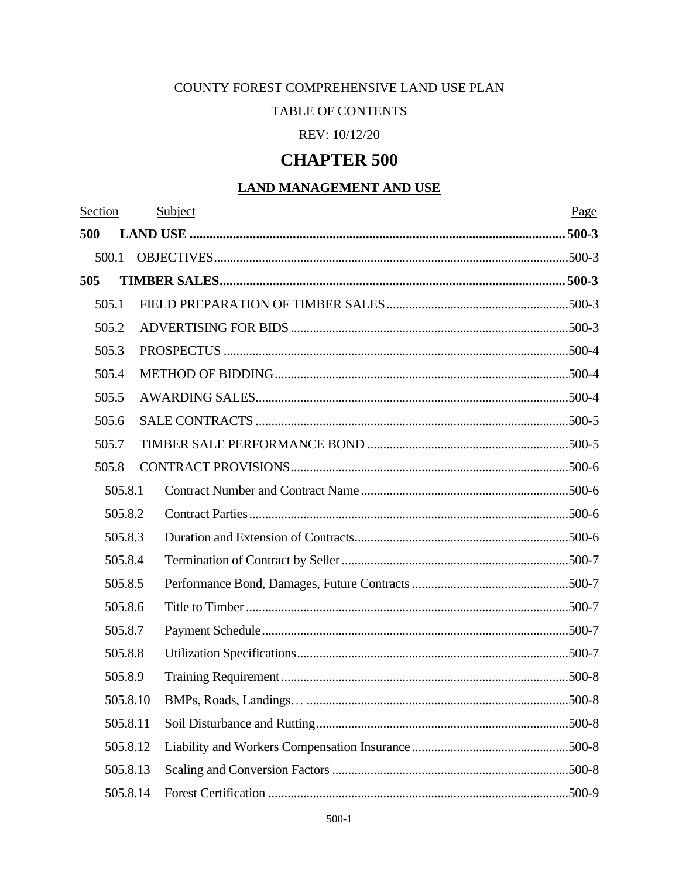# COUNTY FOREST COMPREHENSIVE LAND USE PLAN

# TABLE OF CONTENTS

REV: 10/12/20

# **CHAPTER 500**

# **LAND MANAGEMENT AND USE**

| Section |          |          | Subject | Page |
|---------|----------|----------|---------|------|
| 500     |          |          |         |      |
|         | 500.1    |          |         |      |
| 505     |          |          |         |      |
|         | 505.1    |          |         |      |
|         | 505.2    |          |         |      |
|         | 505.3    |          |         |      |
|         | 505.4    |          |         |      |
|         | 505.5    |          |         |      |
|         | 505.6    |          |         |      |
|         | 505.7    |          |         |      |
|         | 505.8    |          |         |      |
|         | 505.8.1  |          |         |      |
|         | 505.8.2  |          |         |      |
|         | 505.8.3  |          |         |      |
|         | 505.8.4  |          |         |      |
|         | 505.8.5  |          |         |      |
|         | 505.8.6  |          |         |      |
|         | 505.8.7  |          |         |      |
|         | 505.8.8  |          |         |      |
|         | 505.8.9  |          |         |      |
|         |          | 505.8.10 |         |      |
|         | 505.8.11 |          |         |      |
|         | 505.8.12 |          |         |      |
|         | 505.8.13 |          |         |      |
|         | 505.8.14 |          |         |      |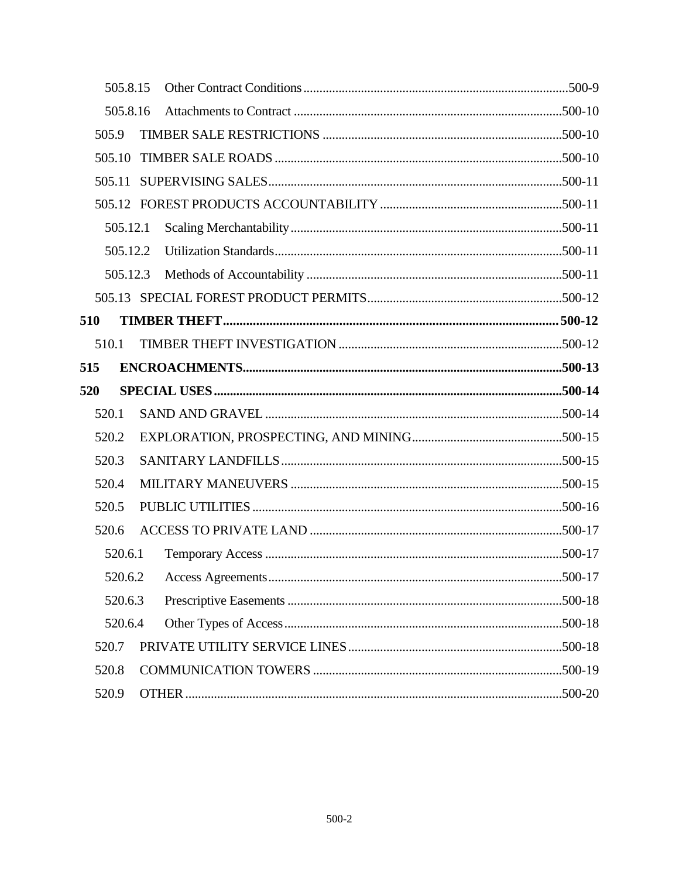| 505.8.15 |  |  |
|----------|--|--|
| 505.8.16 |  |  |
| 505.9    |  |  |
| 505.10   |  |  |
|          |  |  |
|          |  |  |
| 505.12.1 |  |  |
| 505.12.2 |  |  |
| 505.12.3 |  |  |
|          |  |  |
| 510      |  |  |
| 510.1    |  |  |
| 515      |  |  |
| 520      |  |  |
|          |  |  |
| 520.1    |  |  |
| 520.2    |  |  |
| 520.3    |  |  |
| 520.4    |  |  |
| 520.5    |  |  |
| 520.6    |  |  |
| 520.6.1  |  |  |
|          |  |  |
| 520.6.3  |  |  |
| 520.6.4  |  |  |
| 520.7    |  |  |
| 520.8    |  |  |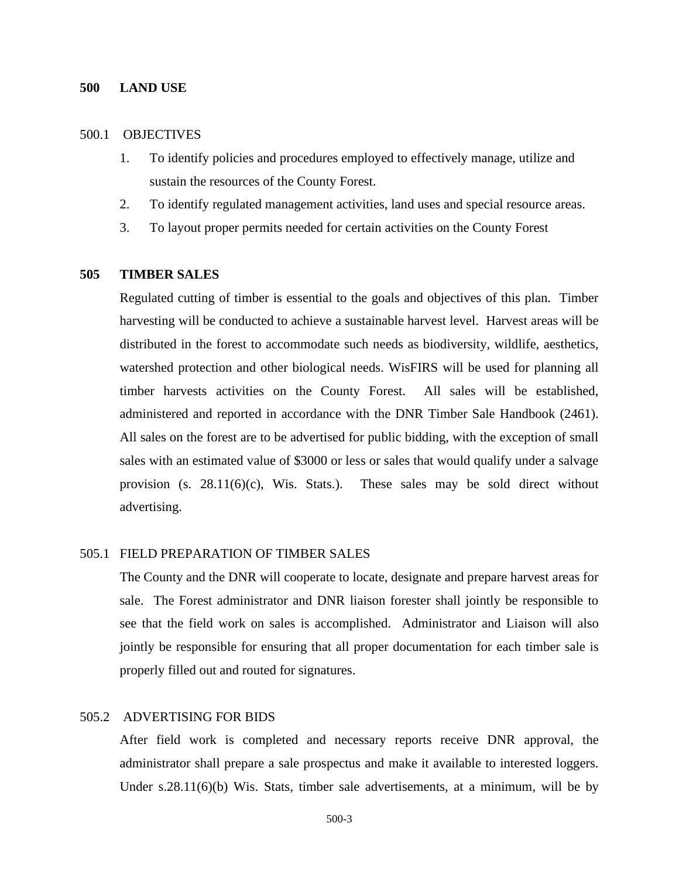#### <span id="page-2-0"></span>**500 LAND USE**

### <span id="page-2-1"></span>500.1 OBJECTIVES

- 1. To identify policies and procedures employed to effectively manage, utilize and sustain the resources of the County Forest.
- 2. To identify regulated management activities, land uses and special resource areas.
- 3. To layout proper permits needed for certain activities on the County Forest

# <span id="page-2-2"></span>**505 TIMBER SALES**

Regulated cutting of timber is essential to the goals and objectives of this plan. Timber harvesting will be conducted to achieve a sustainable harvest level. Harvest areas will be distributed in the forest to accommodate such needs as biodiversity, wildlife, aesthetics, watershed protection and other biological needs. WisFIRS will be used for planning all timber harvests activities on the County Forest. All sales will be established, administered and reported in accordance with the DNR Timber Sale Handbook (2461). All sales on the forest are to be advertised for public bidding, with the exception of small sales with an estimated value of \$3000 or less or sales that would qualify under a salvage provision (s.  $28.11(6)(c)$ , Wis. Stats.). These sales may be sold direct without advertising.

#### <span id="page-2-3"></span>505.1 FIELD PREPARATION OF TIMBER SALES

The County and the DNR will cooperate to locate, designate and prepare harvest areas for sale. The Forest administrator and DNR liaison forester shall jointly be responsible to see that the field work on sales is accomplished. Administrator and Liaison will also jointly be responsible for ensuring that all proper documentation for each timber sale is properly filled out and routed for signatures.

# <span id="page-2-4"></span>505.2ADVERTISING FOR BIDS

 After field work is completed and necessary reports receive DNR approval, the administrator shall prepare a sale prospectus and make it available to interested loggers. Under s.28.11(6)(b) Wis. Stats, timber sale advertisements, at a minimum, will be by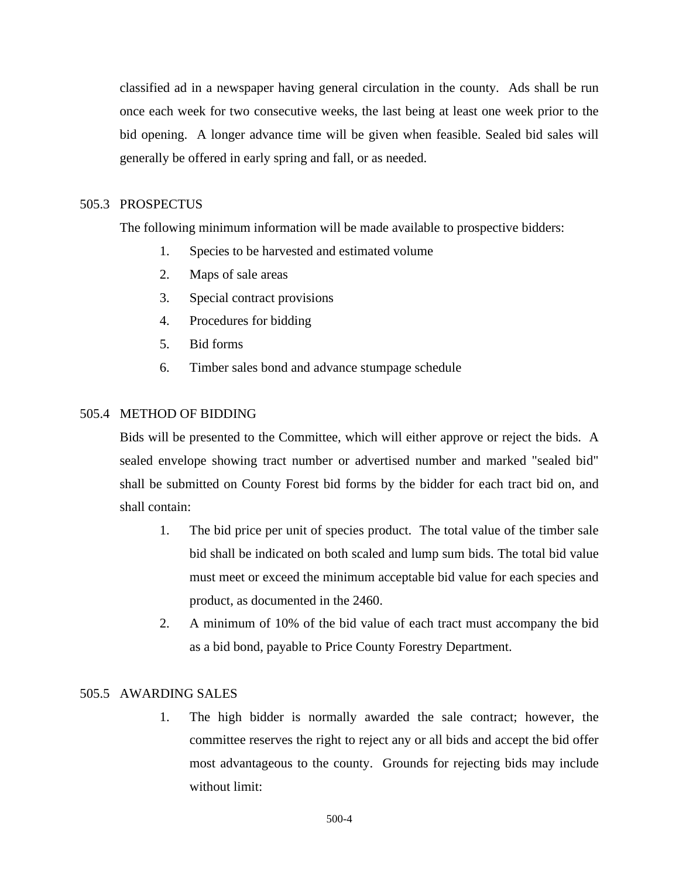classified ad in a newspaper having general circulation in the county. Ads shall be run once each week for two consecutive weeks, the last being at least one week prior to the bid opening. A longer advance time will be given when feasible. Sealed bid sales will generally be offered in early spring and fall, or as needed.

# <span id="page-3-0"></span>505.3PROSPECTUS

The following minimum information will be made available to prospective bidders:

- 1. Species to be harvested and estimated volume
- 2. Maps of sale areas
- 3. Special contract provisions
- 4. Procedures for bidding
- 5. Bid forms
- 6. Timber sales bond and advance stumpage schedule

# <span id="page-3-1"></span>505.4METHOD OF BIDDING

Bids will be presented to the Committee, which will either approve or reject the bids. A sealed envelope showing tract number or advertised number and marked "sealed bid" shall be submitted on County Forest bid forms by the bidder for each tract bid on, and shall contain:

- 1. The bid price per unit of species product. The total value of the timber sale bid shall be indicated on both scaled and lump sum bids. The total bid value must meet or exceed the minimum acceptable bid value for each species and product, as documented in the 2460.
- 2. A minimum of 10% of the bid value of each tract must accompany the bid as a bid bond, payable to Price County Forestry Department.

### <span id="page-3-2"></span>505.5AWARDING SALES

1. The high bidder is normally awarded the sale contract; however, the committee reserves the right to reject any or all bids and accept the bid offer most advantageous to the county. Grounds for rejecting bids may include without limit: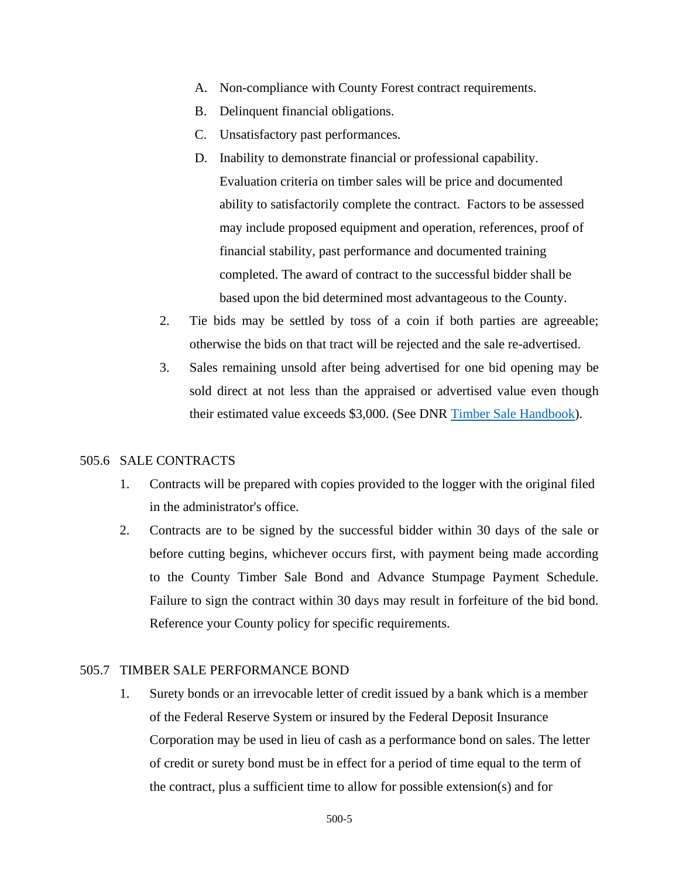- A. Non-compliance with County Forest contract requirements.
- B. Delinquent financial obligations.
- C. Unsatisfactory past performances.
- D. Inability to demonstrate financial or professional capability. Evaluation criteria on timber sales will be price and documented ability to satisfactorily complete the contract. Factors to be assessed may include proposed equipment and operation, references, proof of financial stability, past performance and documented training completed. The award of contract to the successful bidder shall be based upon the bid determined most advantageous to the County.
- 2. Tie bids may be settled by toss of a coin if both parties are agreeable; otherwise the bids on that tract will be rejected and the sale re-advertised.
- 3. Sales remaining unsold after being advertised for one bid opening may be sold direct at not less than the appraised or advertised value even though their estimated value exceeds \$3,000. (See DNR [Timber Sale Handbook\)](https://dnr.wi.gov/topic/TimberSales/documents/2461.pdf).

### <span id="page-4-0"></span>505.6SALE CONTRACTS

- 1. Contracts will be prepared with copies provided to the logger with the original filed in the administrator's office.
- 2. Contracts are to be signed by the successful bidder within 30 days of the sale or before cutting begins, whichever occurs first, with payment being made according to the County Timber Sale Bond and Advance Stumpage Payment Schedule. Failure to sign the contract within 30 days may result in forfeiture of the bid bond. Reference your County policy for specific requirements.

### <span id="page-4-1"></span>505.7 TIMBER SALE PERFORMANCE BOND

1. Surety bonds or an irrevocable letter of credit issued by a bank which is a member of the Federal Reserve System or insured by the Federal Deposit Insurance Corporation may be used in lieu of cash as a performance bond on sales. The letter of credit or surety bond must be in effect for a period of time equal to the term of the contract, plus a sufficient time to allow for possible extension(s) and for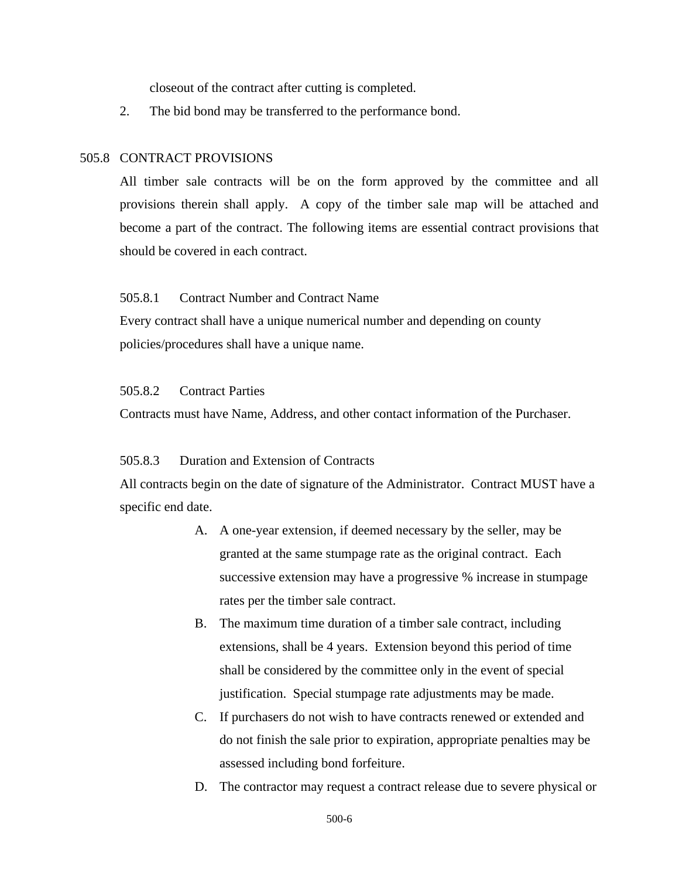closeout of the contract after cutting is completed.

2. The bid bond may be transferred to the performance bond.

### <span id="page-5-0"></span>505.8 CONTRACT PROVISIONS

All timber sale contracts will be on the form approved by the committee and all provisions therein shall apply. A copy of the timber sale map will be attached and become a part of the contract. The following items are essential contract provisions that should be covered in each contract.

#### <span id="page-5-1"></span>505.8.1 Contract Number and Contract Name

Every contract shall have a unique numerical number and depending on county policies/procedures shall have a unique name.

# <span id="page-5-2"></span>505.8.2 Contract Parties

Contracts must have Name, Address, and other contact information of the Purchaser.

#### <span id="page-5-3"></span>505.8.3 Duration and Extension of Contracts

All contracts begin on the date of signature of the Administrator. Contract MUST have a specific end date.

- A. A one-year extension, if deemed necessary by the seller, may be granted at the same stumpage rate as the original contract. Each successive extension may have a progressive % increase in stumpage rates per the timber sale contract.
- B. The maximum time duration of a timber sale contract, including extensions, shall be 4 years. Extension beyond this period of time shall be considered by the committee only in the event of special justification. Special stumpage rate adjustments may be made.
- C. If purchasers do not wish to have contracts renewed or extended and do not finish the sale prior to expiration, appropriate penalties may be assessed including bond forfeiture.
- D. The contractor may request a contract release due to severe physical or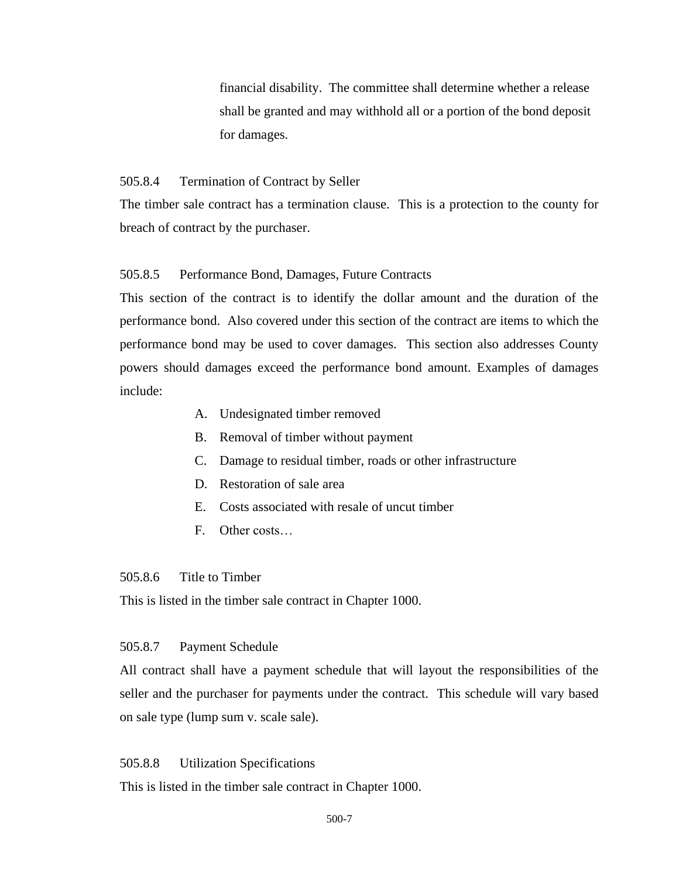financial disability. The committee shall determine whether a release shall be granted and may withhold all or a portion of the bond deposit for damages.

#### <span id="page-6-0"></span>505.8.4 Termination of Contract by Seller

The timber sale contract has a termination clause. This is a protection to the county for breach of contract by the purchaser.

# <span id="page-6-1"></span>505.8.5 Performance Bond, Damages, Future Contracts

This section of the contract is to identify the dollar amount and the duration of the performance bond. Also covered under this section of the contract are items to which the performance bond may be used to cover damages. This section also addresses County powers should damages exceed the performance bond amount. Examples of damages include:

- A. Undesignated timber removed
- B. Removal of timber without payment
- C. Damage to residual timber, roads or other infrastructure
- D. Restoration of sale area
- E. Costs associated with resale of uncut timber
- F. Other costs…

### <span id="page-6-2"></span>505.8.6 Title to Timber

This is listed in the timber sale contract in Chapter 1000.

#### <span id="page-6-3"></span>505.8.7 Payment Schedule

All contract shall have a payment schedule that will layout the responsibilities of the seller and the purchaser for payments under the contract. This schedule will vary based on sale type (lump sum v. scale sale).

#### <span id="page-6-4"></span>505.8.8 Utilization Specifications

This is listed in the timber sale contract in Chapter 1000.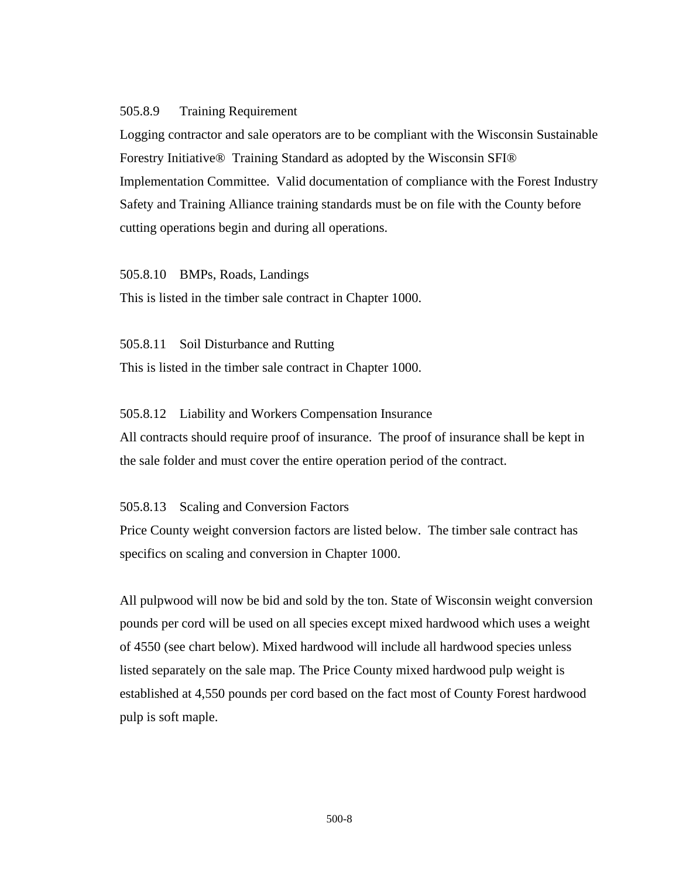### <span id="page-7-0"></span>505.8.9 Training Requirement

Logging contractor and sale operators are to be compliant with the Wisconsin Sustainable Forestry Initiative® Training Standard as adopted by the Wisconsin SFI® Implementation Committee. Valid documentation of compliance with the Forest Industry Safety and Training Alliance training standards must be on file with the County before cutting operations begin and during all operations.

<span id="page-7-1"></span>505.8.10 BMPs, Roads, Landings

This is listed in the timber sale contract in Chapter 1000.

<span id="page-7-2"></span>505.8.11 Soil Disturbance and Rutting This is listed in the timber sale contract in Chapter 1000.

### <span id="page-7-3"></span>505.8.12 Liability and Workers Compensation Insurance

All contracts should require proof of insurance. The proof of insurance shall be kept in the sale folder and must cover the entire operation period of the contract.

<span id="page-7-4"></span>505.8.13 Scaling and Conversion Factors

Price County weight conversion factors are listed below. The timber sale contract has specifics on scaling and conversion in Chapter 1000.

All pulpwood will now be bid and sold by the ton. State of Wisconsin weight conversion pounds per cord will be used on all species except mixed hardwood which uses a weight of 4550 (see chart below). Mixed hardwood will include all hardwood species unless listed separately on the sale map. The Price County mixed hardwood pulp weight is established at 4,550 pounds per cord based on the fact most of County Forest hardwood pulp is soft maple.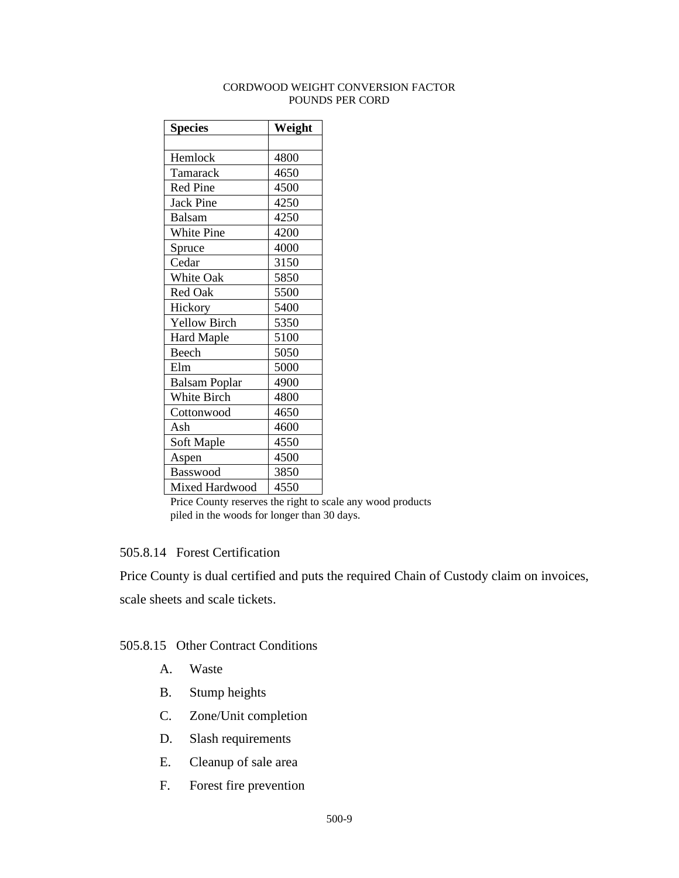### CORDWOOD WEIGHT CONVERSION FACTOR POUNDS PER CORD

| <b>Species</b>       | Weight |
|----------------------|--------|
|                      |        |
| Hemlock              | 4800   |
| Tamarack             | 4650   |
| <b>Red Pine</b>      | 4500   |
| <b>Jack Pine</b>     | 4250   |
| <b>Balsam</b>        | 4250   |
| White Pine           | 4200   |
| Spruce               | 4000   |
| Cedar                | 3150   |
| White Oak            | 5850   |
| Red Oak              | 5500   |
| Hickory              | 5400   |
| <b>Yellow Birch</b>  | 5350   |
| <b>Hard Maple</b>    | 5100   |
| Beech                | 5050   |
| Elm                  | 5000   |
| <b>Balsam Poplar</b> | 4900   |
| White Birch          | 4800   |
| Cottonwood           | 4650   |
| Ash                  | 4600   |
| Soft Maple           | 4550   |
| Aspen                | 4500   |
| Basswood             | 3850   |
| Mixed Hardwood       | 4550   |

Price County reserves the right to scale any wood products piled in the woods for longer than 30 days.

# <span id="page-8-0"></span>505.8.14 Forest Certification

Price County is dual certified and puts the required Chain of Custody claim on invoices,

scale sheets and scale tickets.

# <span id="page-8-1"></span>505.8.15 Other Contract Conditions

- A. Waste
- B. Stump heights
- C. Zone/Unit completion
- D. Slash requirements
- E. Cleanup of sale area
- F. Forest fire prevention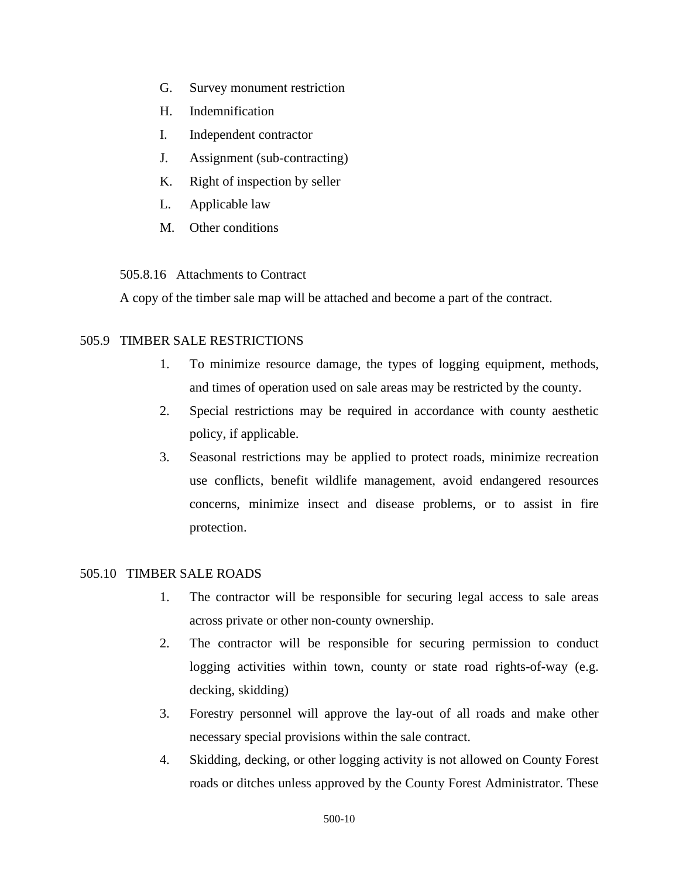- G. Survey monument restriction
- H. Indemnification
- I. Independent contractor
- J. Assignment (sub-contracting)
- K. Right of inspection by seller
- L. Applicable law
- M. Other conditions

<span id="page-9-0"></span>505.8.16 Attachments to Contract

A copy of the timber sale map will be attached and become a part of the contract.

# <span id="page-9-1"></span>505.9TIMBER SALE RESTRICTIONS

- 1. To minimize resource damage, the types of logging equipment, methods, and times of operation used on sale areas may be restricted by the county.
- 2. Special restrictions may be required in accordance with county aesthetic policy, if applicable.
- 3. Seasonal restrictions may be applied to protect roads, minimize recreation use conflicts, benefit wildlife management, avoid endangered resources concerns, minimize insect and disease problems, or to assist in fire protection.

# <span id="page-9-2"></span>505.10 TIMBER SALE ROADS

- 1. The contractor will be responsible for securing legal access to sale areas across private or other non-county ownership.
- 2. The contractor will be responsible for securing permission to conduct logging activities within town, county or state road rights-of-way (e.g. decking, skidding)
- 3. Forestry personnel will approve the lay-out of all roads and make other necessary special provisions within the sale contract.
- 4. Skidding, decking, or other logging activity is not allowed on County Forest roads or ditches unless approved by the County Forest Administrator. These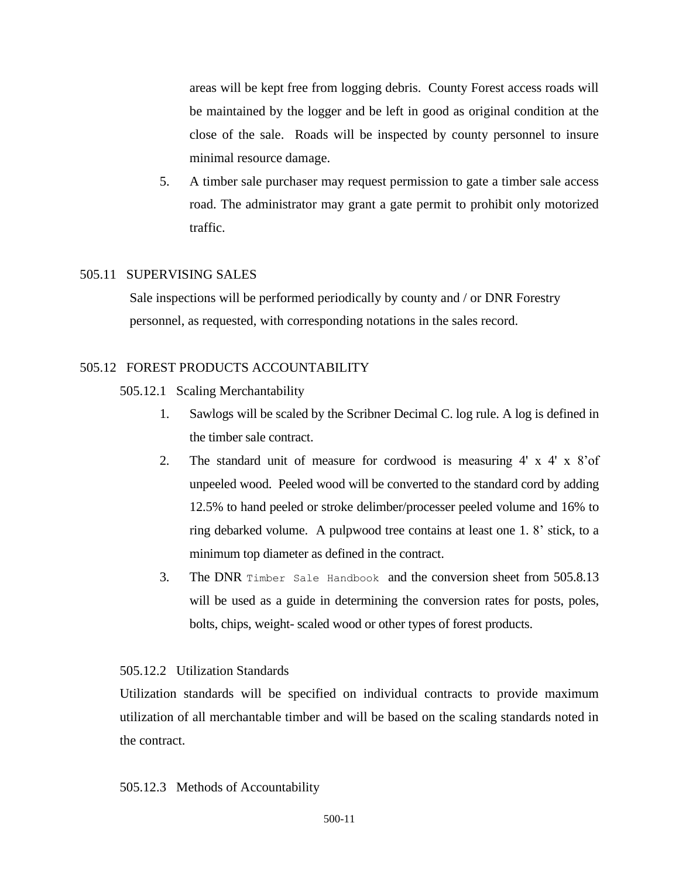areas will be kept free from logging debris. County Forest access roads will be maintained by the logger and be left in good as original condition at the close of the sale. Roads will be inspected by county personnel to insure minimal resource damage.

5. A timber sale purchaser may request permission to gate a timber sale access road. The administrator may grant a gate permit to prohibit only motorized traffic.

# <span id="page-10-0"></span>505.11SUPERVISING SALES

 Sale inspections will be performed periodically by county and / or DNR Forestry personnel, as requested, with corresponding notations in the sales record.

# <span id="page-10-1"></span>505.12FOREST PRODUCTS ACCOUNTABILITY

- <span id="page-10-2"></span>505.12.1Scaling Merchantability
	- 1. Sawlogs will be scaled by the Scribner Decimal C. log rule. A log is defined in the timber sale contract.
	- 2. The standard unit of measure for cordwood is measuring 4' x 4' x 8'of unpeeled wood. Peeled wood will be converted to the standard cord by adding 12.5% to hand peeled or stroke delimber/processer peeled volume and 16% to ring debarked volume. A pulpwood tree contains at least one 1. 8' stick, to a minimum top diameter as defined in the contract.
	- 3. The DNR [Timber Sale Handbook](https://dnr.wi.gov/topic/TimberSales/documents/2461.pdf) and the conversion sheet from 505.8.13 will be used as a guide in determining the conversion rates for posts, poles, bolts, chips, weight- scaled wood or other types of forest products.

# <span id="page-10-3"></span>505.12.2Utilization Standards

Utilization standards will be specified on individual contracts to provide maximum utilization of all merchantable timber and will be based on the scaling standards noted in the contract.

# <span id="page-10-4"></span>505.12.3Methods of Accountability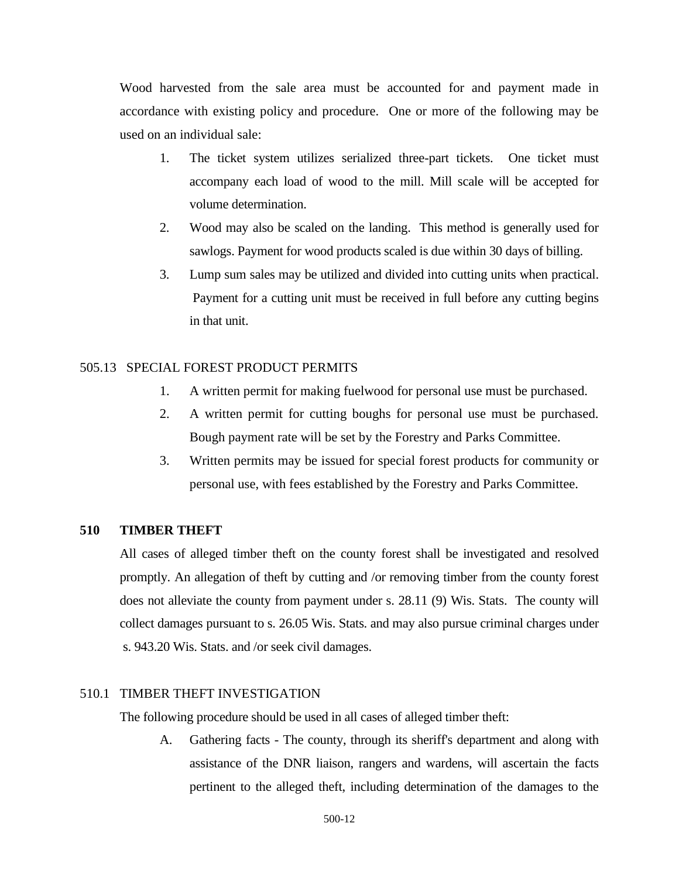Wood harvested from the sale area must be accounted for and payment made in accordance with existing policy and procedure. One or more of the following may be used on an individual sale:

- 1. The ticket system utilizes serialized three-part tickets. One ticket must accompany each load of wood to the mill. Mill scale will be accepted for volume determination.
- 2. Wood may also be scaled on the landing. This method is generally used for sawlogs. Payment for wood products scaled is due within 30 days of billing.
- 3. Lump sum sales may be utilized and divided into cutting units when practical. Payment for a cutting unit must be received in full before any cutting begins in that unit.

# <span id="page-11-0"></span>505.13 SPECIAL FOREST PRODUCT PERMITS

- 1. A written permit for making fuelwood for personal use must be purchased.
- 2. A written permit for cutting boughs for personal use must be purchased. Bough payment rate will be set by the Forestry and Parks Committee.
- 3. Written permits may be issued for special forest products for community or personal use, with fees established by the Forestry and Parks Committee.

# <span id="page-11-1"></span>**510 TIMBER THEFT**

All cases of alleged timber theft on the county forest shall be investigated and resolved promptly. An allegation of theft by cutting and /or removing timber from the county forest does not alleviate the county from payment under s. 28.11 (9) Wis. Stats. The county will collect damages pursuant to s. 26.05 Wis. Stats. and may also pursue criminal charges under s. 943.20 Wis. Stats. and /or seek civil damages.

#### <span id="page-11-2"></span>510.1 TIMBER THEFT INVESTIGATION

The following procedure should be used in all cases of alleged timber theft:

A. Gathering facts - The county, through its sheriff's department and along with assistance of the DNR liaison, rangers and wardens, will ascertain the facts pertinent to the alleged theft, including determination of the damages to the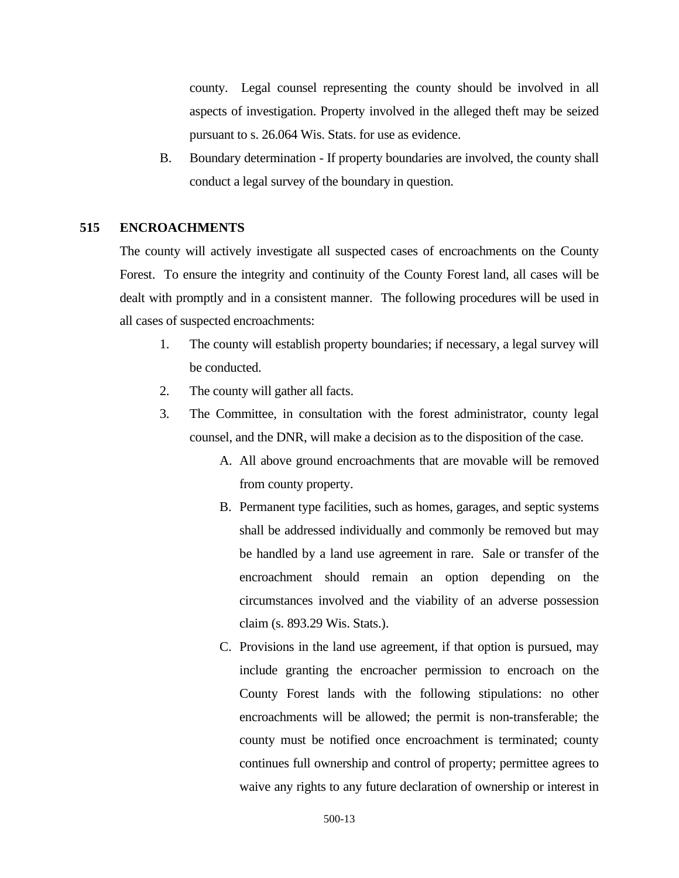county. Legal counsel representing the county should be involved in all aspects of investigation. Property involved in the alleged theft may be seized pursuant to s. 26.064 Wis. Stats. for use as evidence.

B. Boundary determination - If property boundaries are involved, the county shall conduct a legal survey of the boundary in question.

# <span id="page-12-0"></span>**515 ENCROACHMENTS**

The county will actively investigate all suspected cases of encroachments on the County Forest. To ensure the integrity and continuity of the County Forest land, all cases will be dealt with promptly and in a consistent manner. The following procedures will be used in all cases of suspected encroachments:

- 1. The county will establish property boundaries; if necessary, a legal survey will be conducted.
- 2. The county will gather all facts.
- 3. The Committee, in consultation with the forest administrator, county legal counsel, and the DNR, will make a decision as to the disposition of the case.
	- A. All above ground encroachments that are movable will be removed from county property.
	- B. Permanent type facilities, such as homes, garages, and septic systems shall be addressed individually and commonly be removed but may be handled by a land use agreement in rare. Sale or transfer of the encroachment should remain an option depending on the circumstances involved and the viability of an adverse possession claim (s. 893.29 Wis. Stats.).
	- C. Provisions in the land use agreement, if that option is pursued, may include granting the encroacher permission to encroach on the County Forest lands with the following stipulations: no other encroachments will be allowed; the permit is non-transferable; the county must be notified once encroachment is terminated; county continues full ownership and control of property; permittee agrees to waive any rights to any future declaration of ownership or interest in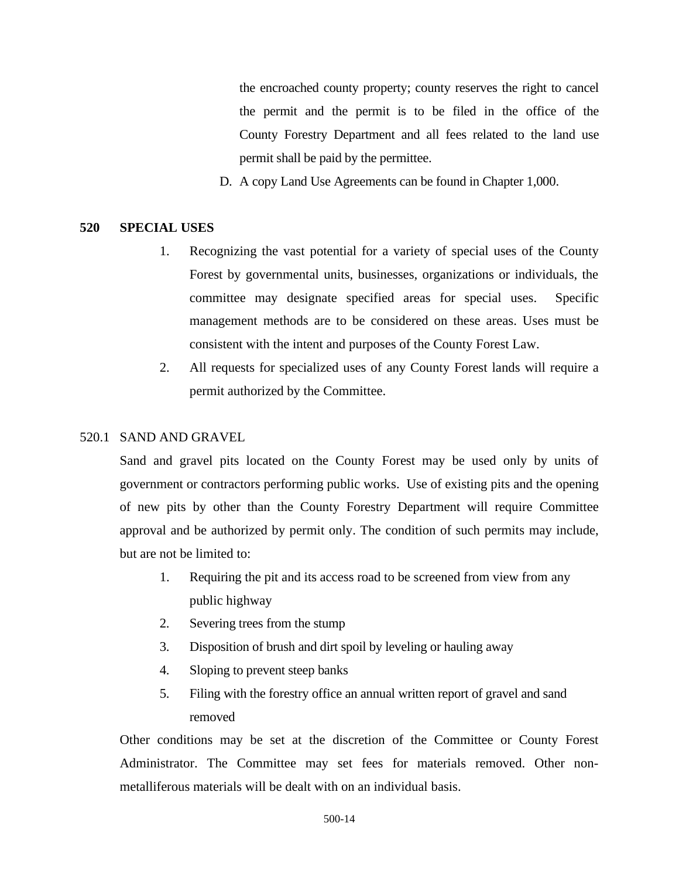the encroached county property; county reserves the right to cancel the permit and the permit is to be filed in the office of the County Forestry Department and all fees related to the land use permit shall be paid by the permittee.

D. A copy Land Use Agreements can be found in Chapter 1,000.

# <span id="page-13-0"></span>**520 SPECIAL USES**

- 1. Recognizing the vast potential for a variety of special uses of the County Forest by governmental units, businesses, organizations or individuals, the committee may designate specified areas for special uses. Specific management methods are to be considered on these areas. Uses must be consistent with the intent and purposes of the County Forest Law.
- 2. All requests for specialized uses of any County Forest lands will require a permit authorized by the Committee.

### <span id="page-13-1"></span>520.1 SAND AND GRAVEL

Sand and gravel pits located on the County Forest may be used only by units of government or contractors performing public works. Use of existing pits and the opening of new pits by other than the County Forestry Department will require Committee approval and be authorized by permit only. The condition of such permits may include, but are not be limited to:

- 1. Requiring the pit and its access road to be screened from view from any public highway
- 2. Severing trees from the stump
- 3. Disposition of brush and dirt spoil by leveling or hauling away
- 4. Sloping to prevent steep banks
- 5. Filing with the forestry office an annual written report of gravel and sand removed

Other conditions may be set at the discretion of the Committee or County Forest Administrator. The Committee may set fees for materials removed. Other nonmetalliferous materials will be dealt with on an individual basis.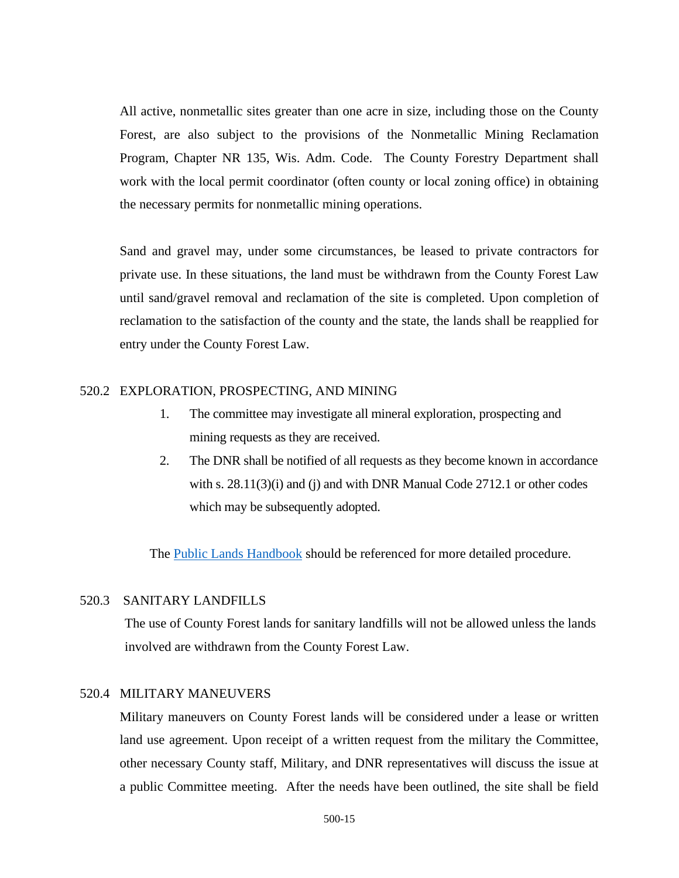All active, nonmetallic sites greater than one acre in size, including those on the County Forest, are also subject to the provisions of the Nonmetallic Mining Reclamation Program, Chapter NR 135, Wis. Adm. Code. The County Forestry Department shall work with the local permit coordinator (often county or local zoning office) in obtaining the necessary permits for nonmetallic mining operations.

Sand and gravel may, under some circumstances, be leased to private contractors for private use. In these situations, the land must be withdrawn from the County Forest Law until sand/gravel removal and reclamation of the site is completed. Upon completion of reclamation to the satisfaction of the county and the state, the lands shall be reapplied for entry under the County Forest Law.

# <span id="page-14-0"></span>520.2 EXPLORATION, PROSPECTING, AND MINING

- 1. The committee may investigate all mineral exploration, prospecting and mining requests as they are received.
- 2. The DNR shall be notified of all requests as they become known in accordance with s. 28.11(3)(i) and (j) and with DNR Manual Code 2712.1 or other codes which may be subsequently adopted.

The [Public Lands Handbook](https://dnr.wi.gov/topic/ForestManagement/documents/24605.pdf) should be referenced for more detailed procedure.

### <span id="page-14-1"></span>520.3 SANITARY LANDFILLS

The use of County Forest lands for sanitary landfills will not be allowed unless the lands involved are withdrawn from the County Forest Law.

### <span id="page-14-2"></span>520.4 MILITARY MANEUVERS

Military maneuvers on County Forest lands will be considered under a lease or written land use agreement. Upon receipt of a written request from the military the Committee, other necessary County staff, Military, and DNR representatives will discuss the issue at a public Committee meeting. After the needs have been outlined, the site shall be field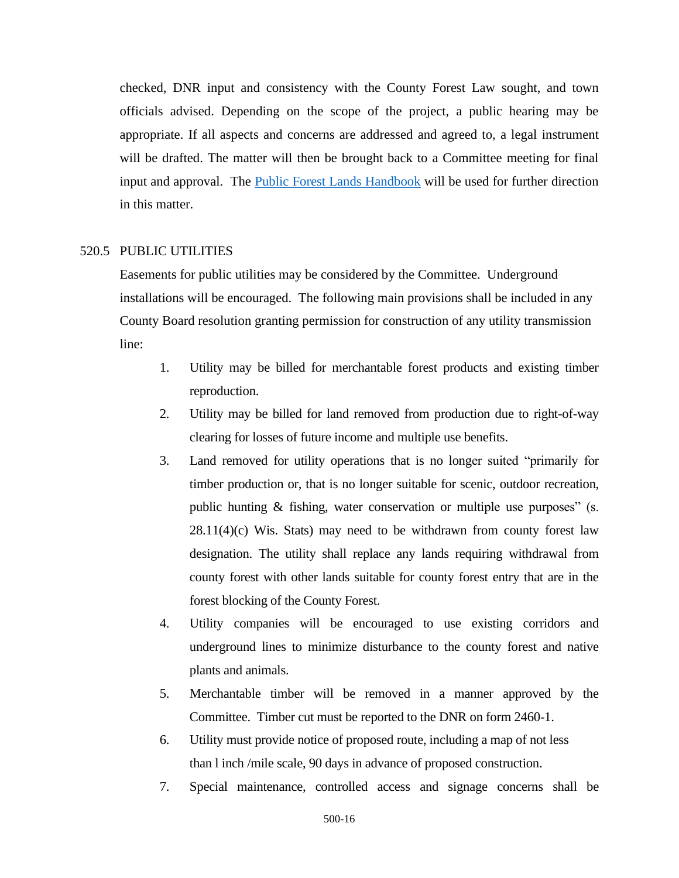checked, DNR input and consistency with the County Forest Law sought, and town officials advised. Depending on the scope of the project, a public hearing may be appropriate. If all aspects and concerns are addressed and agreed to, a legal instrument will be drafted. The matter will then be brought back to a Committee meeting for final input and approval. The [Public Forest Lands Handbook](https://dnr.wi.gov/topic/ForestManagement/documents/24605.pdf) will be used for further direction in this matter.

### <span id="page-15-0"></span>520.5 PUBLIC UTILITIES

Easements for public utilities may be considered by the Committee. Underground installations will be encouraged. The following main provisions shall be included in any County Board resolution granting permission for construction of any utility transmission line:

- 1. Utility may be billed for merchantable forest products and existing timber reproduction.
- 2. Utility may be billed for land removed from production due to right-of-way clearing for losses of future income and multiple use benefits.
- 3. Land removed for utility operations that is no longer suited "primarily for timber production or, that is no longer suitable for scenic, outdoor recreation, public hunting & fishing, water conservation or multiple use purposes" (s.  $28.11(4)(c)$  Wis. Stats) may need to be withdrawn from county forest law designation. The utility shall replace any lands requiring withdrawal from county forest with other lands suitable for county forest entry that are in the forest blocking of the County Forest.
- 4. Utility companies will be encouraged to use existing corridors and underground lines to minimize disturbance to the county forest and native plants and animals.
- 5. Merchantable timber will be removed in a manner approved by the Committee. Timber cut must be reported to the DNR on form 2460-1.
- 6. Utility must provide notice of proposed route, including a map of not less than l inch /mile scale, 90 days in advance of proposed construction.
- 7. Special maintenance, controlled access and signage concerns shall be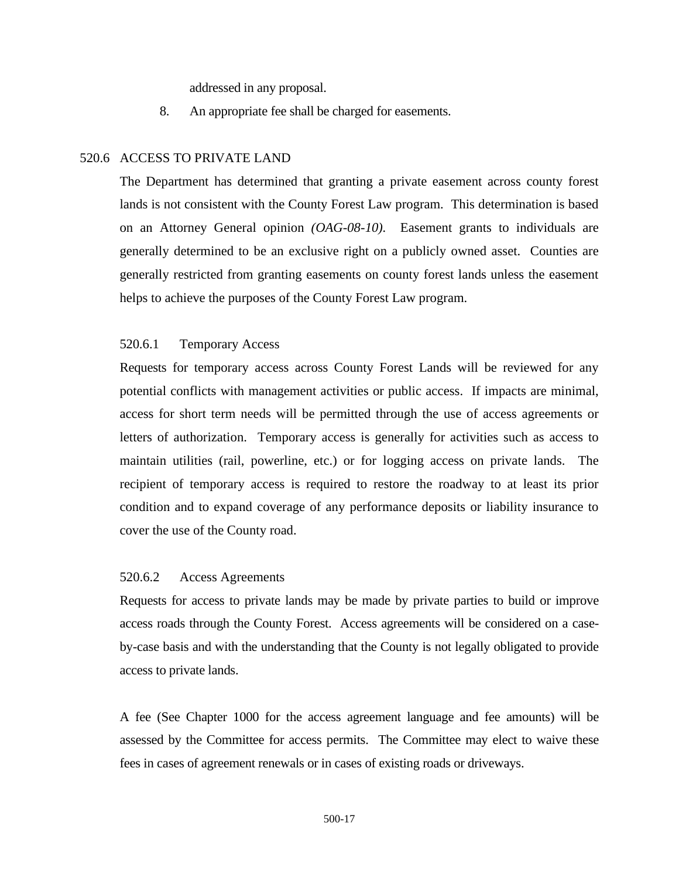addressed in any proposal.

8. An appropriate fee shall be charged for easements.

### <span id="page-16-0"></span>520.6 ACCESS TO PRIVATE LAND

The Department has determined that granting a private easement across county forest lands is not consistent with the County Forest Law program. This determination is based on an Attorney General opinion *(OAG-08-10).* Easement grants to individuals are generally determined to be an exclusive right on a publicly owned asset. Counties are generally restricted from granting easements on county forest lands unless the easement helps to achieve the purposes of the County Forest Law program.

## <span id="page-16-1"></span>520.6.1 Temporary Access

Requests for temporary access across County Forest Lands will be reviewed for any potential conflicts with management activities or public access. If impacts are minimal, access for short term needs will be permitted through the use of access agreements or letters of authorization. Temporary access is generally for activities such as access to maintain utilities (rail, powerline, etc.) or for logging access on private lands. The recipient of temporary access is required to restore the roadway to at least its prior condition and to expand coverage of any performance deposits or liability insurance to cover the use of the County road.

#### <span id="page-16-2"></span>520.6.2 Access Agreements

Requests for access to private lands may be made by private parties to build or improve access roads through the County Forest. Access agreements will be considered on a caseby-case basis and with the understanding that the County is not legally obligated to provide access to private lands.

A fee (See Chapter 1000 for the access agreement language and fee amounts) will be assessed by the Committee for access permits. The Committee may elect to waive these fees in cases of agreement renewals or in cases of existing roads or driveways.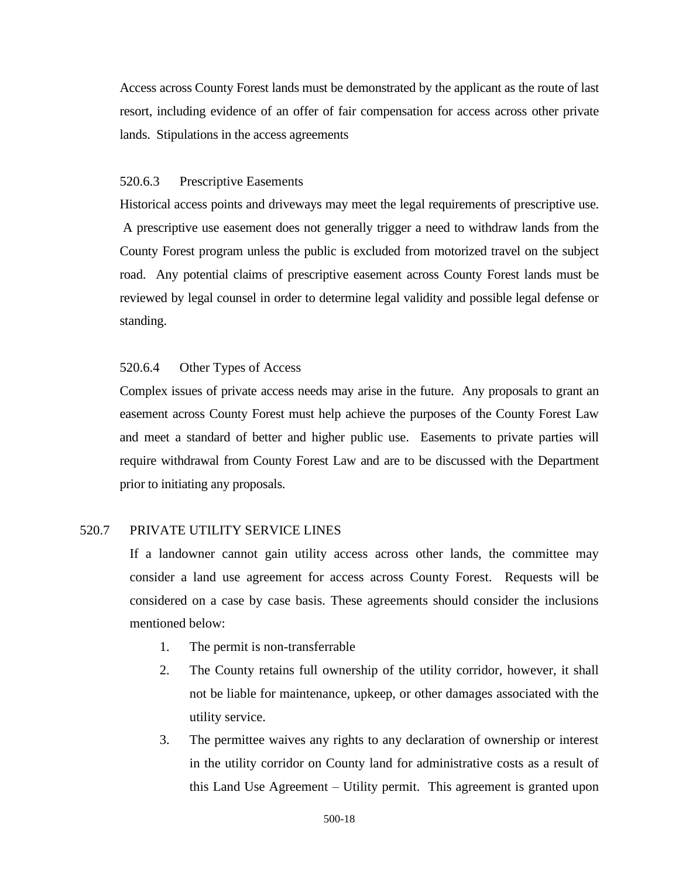Access across County Forest lands must be demonstrated by the applicant as the route of last resort, including evidence of an offer of fair compensation for access across other private lands. Stipulations in the access agreements

#### <span id="page-17-0"></span>520.6.3 Prescriptive Easements

Historical access points and driveways may meet the legal requirements of prescriptive use. A prescriptive use easement does not generally trigger a need to withdraw lands from the County Forest program unless the public is excluded from motorized travel on the subject road. Any potential claims of prescriptive easement across County Forest lands must be reviewed by legal counsel in order to determine legal validity and possible legal defense or standing.

# <span id="page-17-1"></span>520.6.4 Other Types of Access

Complex issues of private access needs may arise in the future. Any proposals to grant an easement across County Forest must help achieve the purposes of the County Forest Law and meet a standard of better and higher public use. Easements to private parties will require withdrawal from County Forest Law and are to be discussed with the Department prior to initiating any proposals.

### <span id="page-17-2"></span>520.7 PRIVATE UTILITY SERVICE LINES

If a landowner cannot gain utility access across other lands, the committee may consider a land use agreement for access across County Forest. Requests will be considered on a case by case basis. These agreements should consider the inclusions mentioned below:

- 1. The permit is non-transferrable
- 2. The County retains full ownership of the utility corridor, however, it shall not be liable for maintenance, upkeep, or other damages associated with the utility service.
- 3. The permittee waives any rights to any declaration of ownership or interest in the utility corridor on County land for administrative costs as a result of this Land Use Agreement – Utility permit. This agreement is granted upon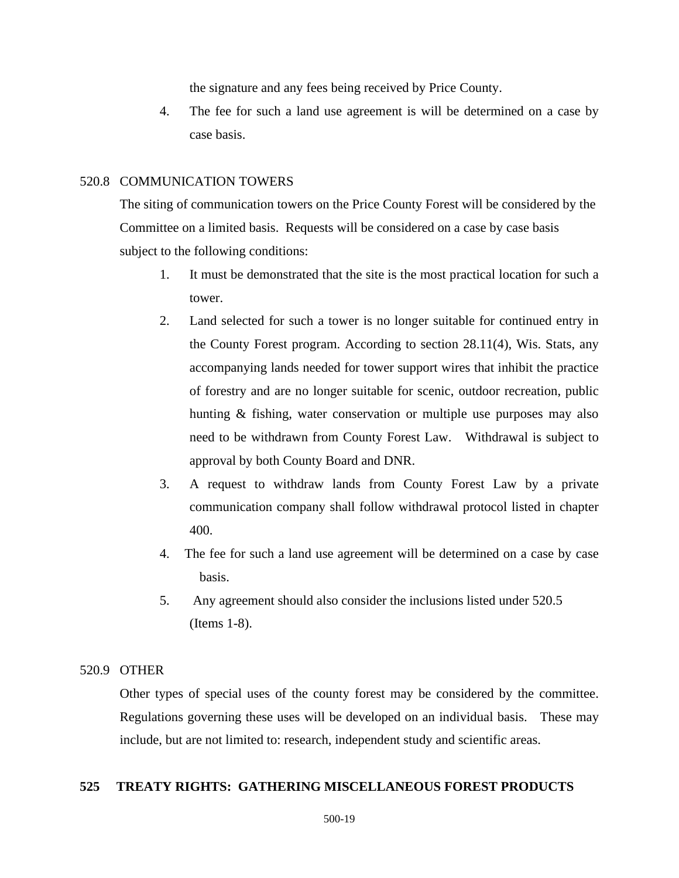the signature and any fees being received by Price County.

4. The fee for such a land use agreement is will be determined on a case by case basis.

#### <span id="page-18-0"></span>520.8 COMMUNICATION TOWERS

The siting of communication towers on the Price County Forest will be considered by the Committee on a limited basis. Requests will be considered on a case by case basis subject to the following conditions:

- 1. It must be demonstrated that the site is the most practical location for such a tower.
- 2. Land selected for such a tower is no longer suitable for continued entry in the County Forest program. According to section 28.11(4), Wis. Stats, any accompanying lands needed for tower support wires that inhibit the practice of forestry and are no longer suitable for scenic, outdoor recreation, public hunting & fishing, water conservation or multiple use purposes may also need to be withdrawn from County Forest Law. Withdrawal is subject to approval by both County Board and DNR.
- 3. A request to withdraw lands from County Forest Law by a private communication company shall follow withdrawal protocol listed in chapter 400.
- 4. The fee for such a land use agreement will be determined on a case by case basis.
- 5. Any agreement should also consider the inclusions listed under 520.5 (Items 1-8).

### <span id="page-18-1"></span>520.9 OTHER

Other types of special uses of the county forest may be considered by the committee. Regulations governing these uses will be developed on an individual basis. These may include, but are not limited to: research, independent study and scientific areas.

# **525 TREATY RIGHTS: GATHERING MISCELLANEOUS FOREST PRODUCTS**

#### 500-19